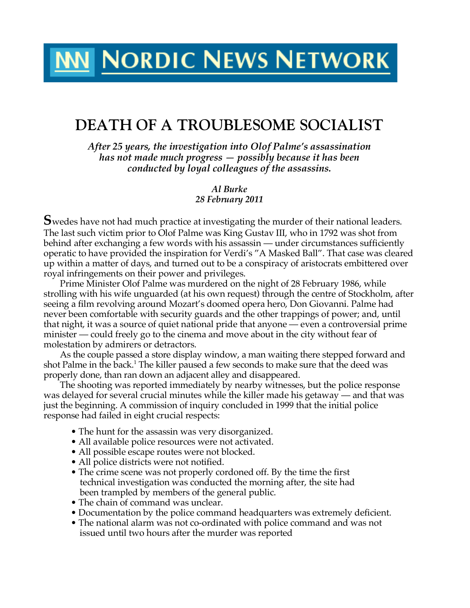# **MM NORDIC NEWS NETWORK**

# **DEATH OF A TROUBLESOME SOCIALIST**

*After 25 years, the investigation into Olof Palme's assassination has not made much progress — possibly because it has been conducted by loyal colleagues of the assassins.*

> *Al Burke 28 February 2011*

**S**wedes have not had much practice at investigating the murder of their national leaders. The last such victim prior to Olof Palme was King Gustav III, who in 1792 was shot from behind after exchanging a few words with his assassin — under circumstances sufficiently operatic to have provided the inspiration for Verdi's "A Masked Ball". That case was cleared up within a matter of days, and turned out to be a conspiracy of aristocrats embittered over royal infringements on their power and privileges.

Prime Minister Olof Palme was murdered on the night of 28 February 1986, while strolling with his wife unguarded (at his own request) through the centre of Stockholm, after seeing a film revolving around Mozart's doomed opera hero, Don Giovanni. Palme had never been comfortable with security guards and the other trappings of power; and, until that night, it was a source of quiet national pride that anyone — even a controversial prime minister — could freely go to the cinema and move about in the city without fear of molestation by admirers or detractors.

As the couple passed a store display window, a man waiting there stepped forward and shot Palme in the back.<sup>1</sup> The killer paused a few seconds to make sure that the deed was properly done, than ran down an adjacent alley and disappeared.

The shooting was reported immediately by nearby witnesses, but the police response was delayed for several crucial minutes while the killer made his getaway — and that was just the beginning. A commission of inquiry concluded in 1999 that the initial police response had failed in eight crucial respects:

- The hunt for the assassin was very disorganized.
- All available police resources were not activated.
- All possible escape routes were not blocked.
- All police districts were not notified.
- The crime scene was not properly cordoned off. By the time the first technical investigation was conducted the morning after, the site had been trampled by members of the general public.
- The chain of command was unclear.
- Documentation by the police command headquarters was extremely deficient.
- The national alarm was not co-ordinated with police command and was not issued until two hours after the murder was reported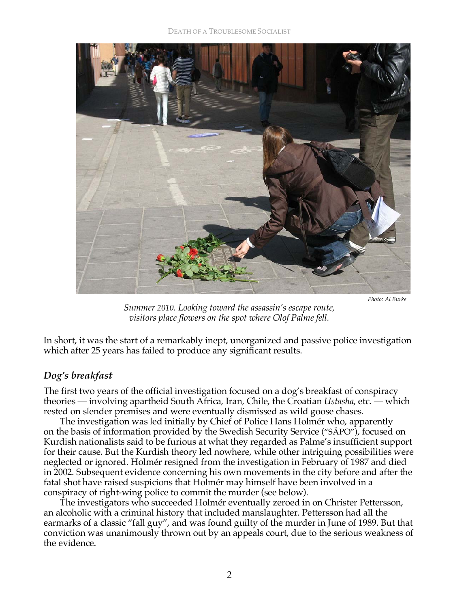

 *Photo: Al Burke* 

*Summer 2010. Looking toward the assassin's escape route, visitors place flowers on the spot where Olof Palme fell.*

In short, it was the start of a remarkably inept, unorganized and passive police investigation which after 25 years has failed to produce any significant results.

### *Dog's breakfast*

The first two years of the official investigation focused on a dog's breakfast of conspiracy theories — involving apartheid South Africa, Iran, Chile, the Croatian *Ustasha*, etc. — which rested on slender premises and were eventually dismissed as wild goose chases.

The investigation was led initially by Chief of Police Hans Holmér who, apparently on the basis of information provided by the Swedish Security Service ("SÄPO"), focused on Kurdish nationalists said to be furious at what they regarded as Palme's insufficient support for their cause. But the Kurdish theory led nowhere, while other intriguing possibilities were neglected or ignored. Holmér resigned from the investigation in February of 1987 and died in 2002. Subsequent evidence concerning his own movements in the city before and after the fatal shot have raised suspicions that Holmér may himself have been involved in a conspiracy of right-wing police to commit the murder (see below).

The investigators who succeeded Holmér eventually zeroed in on Christer Pettersson, an alcoholic with a criminal history that included manslaughter. Pettersson had all the earmarks of a classic "fall guy", and was found guilty of the murder in June of 1989. But that conviction was unanimously thrown out by an appeals court, due to the serious weakness of the evidence.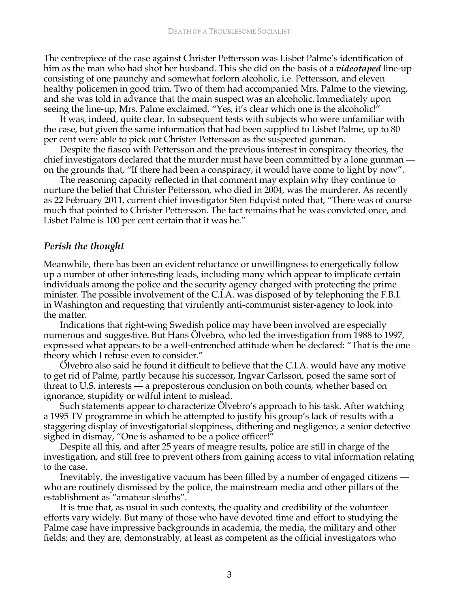The centrepiece of the case against Christer Pettersson was Lisbet Palme's identification of him as the man who had shot her husband. This she did on the basis of a *videotaped* line-up consisting of one paunchy and somewhat forlorn alcoholic, i.e. Pettersson, and eleven healthy policemen in good trim. Two of them had accompanied Mrs. Palme to the viewing, and she was told in advance that the main suspect was an alcoholic. Immediately upon seeing the line-up, Mrs. Palme exclaimed, "Yes, it's clear which one is the alcoholic!"

It was, indeed, quite clear. In subsequent tests with subjects who were unfamiliar with the case, but given the same information that had been supplied to Lisbet Palme, up to 80 per cent were able to pick out Christer Pettersson as the suspected gunman.

Despite the fiasco with Pettersson and the previous interest in conspiracy theories, the chief investigators declared that the murder must have been committed by a lone gunman on the grounds that, "If there had been a conspiracy, it would have come to light by now".

The reasoning capacity reflected in that comment may explain why they continue to nurture the belief that Christer Pettersson, who died in 2004, was the murderer. As recently as 22 February 2011, current chief investigator Sten Edqvist noted that, "There was of course much that pointed to Christer Pettersson. The fact remains that he was convicted once, and Lisbet Palme is 100 per cent certain that it was he."

#### *Perish the thought*

Meanwhile, there has been an evident reluctance or unwillingness to energetically follow up a number of other interesting leads, including many which appear to implicate certain individuals among the police and the security agency charged with protecting the prime minister. The possible involvement of the C.I.A. was disposed of by telephoning the F.B.I. in Washington and requesting that virulently anti-communist sister-agency to look into the matter.

Indications that right-wing Swedish police may have been involved are especially numerous and suggestive. But Hans Ölvebro, who led the investigation from 1988 to 1997, expressed what appears to be a well-entrenched attitude when he declared: "That is the one theory which I refuse even to consider."

Ölvebro also said he found it difficult to believe that the C.I.A. would have any motive to get rid of Palme, partly because his successor, Ingvar Carlsson, posed the same sort of threat to U.S. interests — a preposterous conclusion on both counts, whether based on ignorance, stupidity or wilful intent to mislead.

Such statements appear to characterize Ölvebro's approach to his task. After watching a 1995 TV programme in which he attempted to justify his group's lack of results with a staggering display of investigatorial sloppiness, dithering and negligence, a senior detective sighed in dismay, "One is ashamed to be a police officer!"

Despite all this, and after 25 years of meagre results, police are still in charge of the investigation, and still free to prevent others from gaining access to vital information relating to the case.

Inevitably, the investigative vacuum has been filled by a number of engaged citizens who are routinely dismissed by the police, the mainstream media and other pillars of the establishment as "amateur sleuths".

It is true that, as usual in such contexts, the quality and credibility of the volunteer efforts vary widely. But many of those who have devoted time and effort to studying the Palme case have impressive backgrounds in academia, the media, the military and other fields; and they are, demonstrably, at least as competent as the official investigators who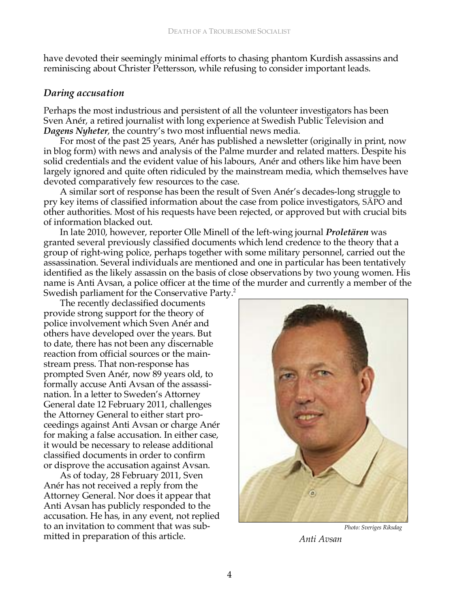have devoted their seemingly minimal efforts to chasing phantom Kurdish assassins and reminiscing about Christer Pettersson, while refusing to consider important leads.

#### *Daring accusation*

Perhaps the most industrious and persistent of all the volunteer investigators has been Sven Anér, a retired journalist with long experience at Swedish Public Television and *Dagens Nyheter*, the country's two most influential news media.

For most of the past 25 years, Anér has published a newsletter (originally in print, now in blog form) with news and analysis of the Palme murder and related matters. Despite his solid credentials and the evident value of his labours, Anér and others like him have been largely ignored and quite often ridiculed by the mainstream media, which themselves have devoted comparatively few resources to the case.

A similar sort of response has been the result of Sven Anér's decades-long struggle to pry key items of classified information about the case from police investigators, SÄPO and other authorities. Most of his requests have been rejected, or approved but with crucial bits of information blacked out.

In late 2010, however, reporter Olle Minell of the left-wing journal *Proletären* was granted several previously classified documents which lend credence to the theory that a group of right-wing police, perhaps together with some military personnel, carried out the assassination. Several individuals are mentioned and one in particular has been tentatively identified as the likely assassin on the basis of close observations by two young women. His name is Anti Avsan, a police officer at the time of the murder and currently a member of the Swedish parliament for the Conservative Party.<sup>2</sup>

The recently declassified documents provide strong support for the theory of police involvement which Sven Anér and others have developed over the years. But to date, there has not been any discernable reaction from official sources or the mainstream press. That non-response has prompted Sven Anér, now 89 years old, to formally accuse Anti Avsan of the assassination. In a letter to Sweden's Attorney General date 12 February 2011, challenges the Attorney General to either start proceedings against Anti Avsan or charge Anér for making a false accusation. In either case, it would be necessary to release additional classified documents in order to confirm or disprove the accusation against Avsan.

As of today, 28 February 2011, Sven Anér has not received a reply from the Attorney General. Nor does it appear that Anti Avsan has publicly responded to the accusation. He has, in any event, not replied to an invitation to comment that was submitted in preparation of this article.



*Photo: Sveriges Riksdag Anti Avsan*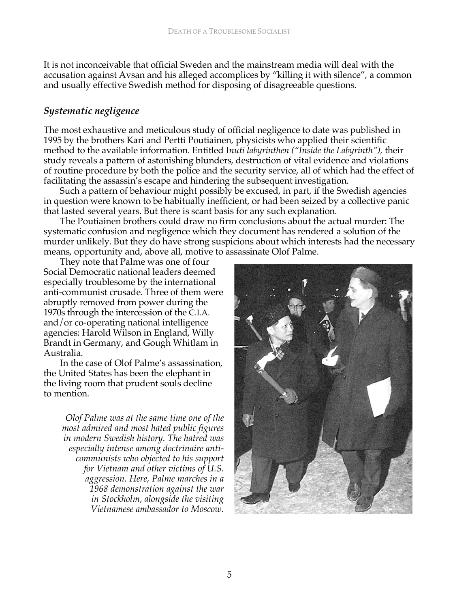It is not inconceivable that official Sweden and the mainstream media will deal with the accusation against Avsan and his alleged accomplices by "killing it with silence", a common and usually effective Swedish method for disposing of disagreeable questions.

## *Systematic negligence*

The most exhaustive and meticulous study of official negligence to date was published in 1995 by the brothers Kari and Pertti Poutiainen, physicists who applied their scientific method to the available information. Entitled I*nuti labyrinthen ("Inside the Labyrinth"),* their study reveals a pattern of astonishing blunders, destruction of vital evidence and violations of routine procedure by both the police and the security service, all of which had the effect of facilitating the assassin's escape and hindering the subsequent investigation.

Such a pattern of behaviour might possibly be excused, in part, if the Swedish agencies in question were known to be habitually inefficient, or had been seized by a collective panic that lasted several years. But there is scant basis for any such explanation.

The Poutiainen brothers could draw no firm conclusions about the actual murder: The systematic confusion and negligence which they document has rendered a solution of the murder unlikely. But they do have strong suspicions about which interests had the necessary means, opportunity and, above all, motive to assassinate Olof Palme.

They note that Palme was one of four Social Democratic national leaders deemed especially troublesome by the international anti-communist crusade. Three of them were abruptly removed from power during the 1970s through the intercession of the C.I.A. and/or co-operating national intelligence agencies: Harold Wilson in England, Willy Brandt in Germany, and Gough Whitlam in Australia.

In the case of Olof Palme's assassination, the United States has been the elephant in the living room that prudent souls decline to mention.

*Olof Palme was at the same time one of the most admired and most hated public figures in modern Swedish history. The hatred was especially intense among doctrinaire anticommunists who objected to his support for Vietnam and other victims of U.S. aggression. Here, Palme marches in a 1968 demonstration against the war in Stockholm, alongside the visiting Vietnamese ambassador to Moscow.*

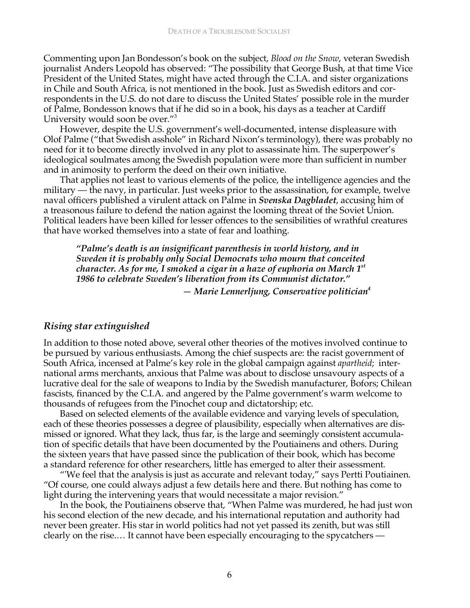Commenting upon Jan Bondesson's book on the subject, *Blood on the Snow*, veteran Swedish journalist Anders Leopold has observed: "The possibility that George Bush, at that time Vice President of the United States, might have acted through the C.I.A. and sister organizations in Chile and South Africa, is not mentioned in the book. Just as Swedish editors and correspondents in the U.S. do not dare to discuss the United States' possible role in the murder of Palme, Bondesson knows that if he did so in a book, his days as a teacher at Cardiff University would soon be over."3

However, despite the U.S. government's well-documented, intense displeasure with Olof Palme ("that Swedish asshole" in Richard Nixon's terminology), there was probably no need for it to become directly involved in any plot to assassinate him. The superpower's ideological soulmates among the Swedish population were more than sufficient in number and in animosity to perform the deed on their own initiative.

That applies not least to various elements of the police, the intelligence agencies and the military — the navy, in particular. Just weeks prior to the assassination, for example, twelve naval officers published a virulent attack on Palme in *Svenska Dagbladet*, accusing him of a treasonous failure to defend the nation against the looming threat of the Soviet Union. Political leaders have been killed for lesser offences to the sensibilities of wrathful creatures that have worked themselves into a state of fear and loathing.

*"Palme's death is an insignificant parenthesis in world history, and in Sweden it is probably only Social Democrats who mourn that conceited character. As for me, I smoked a cigar in a haze of euphoria on March 1st 1986 to celebrate Sweden's liberation from its Communist dictator."*

*— Marie Lennerljung, Conservative politician4* 

#### *Rising star extinguished*

In addition to those noted above, several other theories of the motives involved continue to be pursued by various enthusiasts. Among the chief suspects are: the racist government of South Africa, incensed at Palme's key role in the global campaign against *apartheid*; international arms merchants, anxious that Palme was about to disclose unsavoury aspects of a lucrative deal for the sale of weapons to India by the Swedish manufacturer, Bofors; Chilean fascists, financed by the C.I.A. and angered by the Palme government's warm welcome to thousands of refugees from the Pinochet coup and dictatorship; etc.

Based on selected elements of the available evidence and varying levels of speculation, each of these theories possesses a degree of plausibility, especially when alternatives are dismissed or ignored. What they lack, thus far, is the large and seemingly consistent accumulation of specific details that have been documented by the Poutiainens and others. During the sixteen years that have passed since the publication of their book, which has become a standard reference for other researchers, little has emerged to alter their assessment.

"'We feel that the analysis is just as accurate and relevant today," says Pertti Poutiainen. "Of course, one could always adjust a few details here and there. But nothing has come to light during the intervening years that would necessitate a major revision."

In the book, the Poutiainens observe that, "When Palme was murdered, he had just won his second election of the new decade, and his international reputation and authority had never been greater. His star in world politics had not yet passed its zenith, but was still clearly on the rise.… It cannot have been especially encouraging to the spycatchers —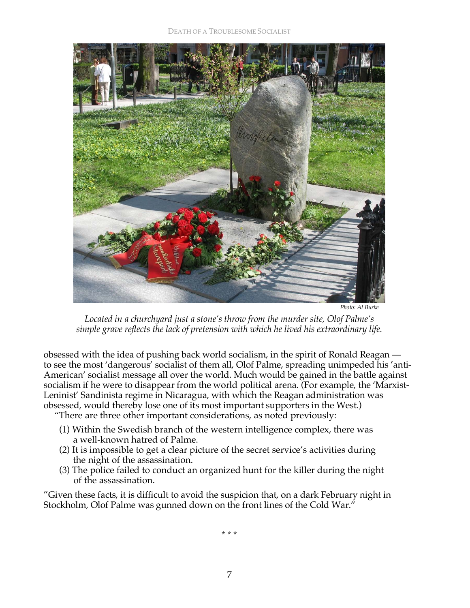

 *Photo: Al Burke* 

*Located in a churchyard just a stone's throw from the murder site, Olof Palme's simple grave reflects the lack of pretension with which he lived his extraordinary life.* 

obsessed with the idea of pushing back world socialism, in the spirit of Ronald Reagan to see the most 'dangerous' socialist of them all, Olof Palme, spreading unimpeded his 'anti-American' socialist message all over the world. Much would be gained in the battle against socialism if he were to disappear from the world political arena. (For example, the 'Marxist-Leninist' Sandinista regime in Nicaragua, with which the Reagan administration was obsessed, would thereby lose one of its most important supporters in the West.)

"There are three other important considerations, as noted previously:

- (1) Within the Swedish branch of the western intelligence complex, there was a well-known hatred of Palme.
- (2) It is impossible to get a clear picture of the secret service's activities during the night of the assassination.
- (3) The police failed to conduct an organized hunt for the killer during the night of the assassination.

"Given these facts, it is difficult to avoid the suspicion that, on a dark February night in Stockholm, Olof Palme was gunned down on the front lines of the Cold War."

\* \* \*